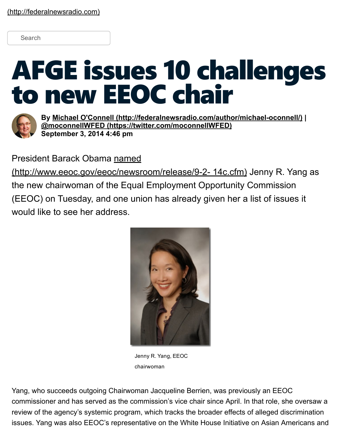## Search

## AFGE issues 10 challenges to new EEOC chair



By Michael O'Connell (http://federalnewsradio.com/author/michael-oconnell/) | @moconnellWFED [\(https://twitter.com/moconnellWFED\)](https://twitter.com/moconnellWFED) September 3, 2014 4:46 pm

President Barack Obama named

(http://www.eeoc.gov/eeoc/newsroom/release/9-2- 14c.cfm) Jenny R. Yang as the new chairwoman of the Equal Employment Opportunity Commission (EEOC) on Tuesday, and one union has already given her a list of issues it would like to see her address.



Jenny R. Yang, EEOC chairwoman

Yang, who succeeds outgoing Chairwoman Jacqueline Berrien, was previously an EEOC commissioner and has served as the commission's vice chair since April. In that role, she oversaw a review of the agency's systemic program, which tracks the broader effects of alleged discrimination issues. Yang was also EEOC's representative on the White House Initiative on Asian Americans and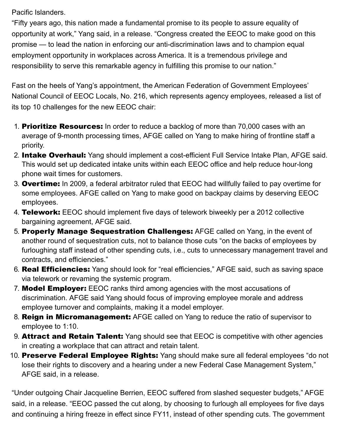Pacific Islanders.

"Fifty years ago, this nation made a fundamental promise to its people to assure equality of opportunity at work," Yang said, in a release. "Congress created the EEOC to make good on this promise — to lead the nation in enforcing our anti-discrimination laws and to champion equal employment opportunity in workplaces across America. It is a tremendous privilege and responsibility to serve this remarkable agency in fulfilling this promise to our nation."

Fast on the heels of Yang's appointment, the American Federation of Government Employees' National Council of EEOC Locals, No. 216, which represents agency employees, released a list of its top 10 challenges for the new EEOC chair:

- 1. **Prioritize Resources:** In order to reduce a backlog of more than 70,000 cases with an average of 9-month processing times, AFGE called on Yang to make hiring of frontline staff a priority.
- 2. Intake Overhaul: Yang should implement a cost-efficient Full Service Intake Plan, AFGE said. This would set up dedicated intake units within each EEOC office and help reduce hour-long phone wait times for customers.
- 3. Overtime: In 2009, a federal arbitrator ruled that EEOC had willfully failed to pay overtime for some employees. AFGE called on Yang to make good on backpay claims by deserving EEOC employees.
- 4. Telework: EEOC should implement five days of telework biweekly per a 2012 collective bargaining agreement, AFGE said.
- 5. Properly Manage Sequestration Challenges: AFGE called on Yang, in the event of another round of sequestration cuts, not to balance those cuts "on the backs of employees by furloughing staff instead of other spending cuts, i.e., cuts to unnecessary management travel and contracts, and efficiencies."
- 6. Real Efficiencies: Yang should look for "real efficiencies," AFGE said, such as saving space via telework or revaming the systemic program.
- 7. Model Employer: EEOC ranks third among agencies with the most accusations of discrimination. AFGE said Yang should focus of improving employee morale and address employee turnover and complaints, making it a model employer.
- 8. Reign in Micromanagement: AFGE called on Yang to reduce the ratio of supervisor to employee to 1:10.
- 9. **Attract and Retain Talent:** Yang should see that EEOC is competitive with other agencies in creating a workplace that can attract and retain talent.
- 10. Preserve Federal Employee Rights: Yang should make sure all federal employees "do not lose their rights to discovery and a hearing under a new Federal Case Management System," AFGE said, in a release.

"Under outgoing Chair Jacqueline Berrien, EEOC suffered from slashed sequester budgets," AFGE said, in a release. "EEOC passed the cut along, by choosing to furlough all employees for five days and continuing a hiring freeze in effect since FY11, instead of other spending cuts. The government